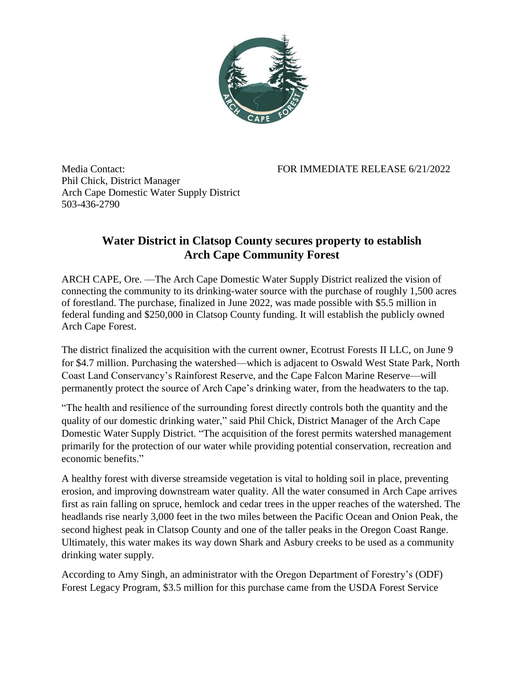

Media Contact: FOR IMMEDIATE RELEASE 6/21/2022 Phil Chick, District Manager Arch Cape Domestic Water Supply District 503-436-2790

## **Water District in Clatsop County secures property to establish Arch Cape Community Forest**

ARCH CAPE, Ore. —The Arch Cape Domestic Water Supply District realized the vision of connecting the community to its drinking-water source with the purchase of roughly 1,500 acres of forestland. The purchase, finalized in June 2022, was made possible with \$5.5 million in federal funding and \$250,000 in Clatsop County funding. It will establish the publicly owned Arch Cape Forest.

The district finalized the acquisition with the current owner, Ecotrust Forests II LLC, on June 9 for \$4.7 million. Purchasing the watershed—which is adjacent to Oswald West State Park, North Coast Land Conservancy's Rainforest Reserve, and the Cape Falcon Marine Reserve—will permanently protect the source of Arch Cape's drinking water, from the headwaters to the tap.

"The health and resilience of the surrounding forest directly controls both the quantity and the quality of our domestic drinking water," said Phil Chick, District Manager of the Arch Cape Domestic Water Supply District. "The acquisition of the forest permits watershed management primarily for the protection of our water while providing potential conservation, recreation and economic benefits."

A healthy forest with diverse streamside vegetation is vital to holding soil in place, preventing erosion, and improving downstream water quality. All the water consumed in Arch Cape arrives first as rain falling on spruce, hemlock and cedar trees in the upper reaches of the watershed. The headlands rise nearly 3,000 feet in the two miles between the Pacific Ocean and Onion Peak, the second highest peak in Clatsop County and one of the taller peaks in the Oregon Coast Range. Ultimately, this water makes its way down Shark and Asbury creeks to be used as a community drinking water supply.

According to Amy Singh, an administrator with the Oregon Department of Forestry's (ODF) Forest Legacy Program, \$3.5 million for this purchase came from the USDA Forest Service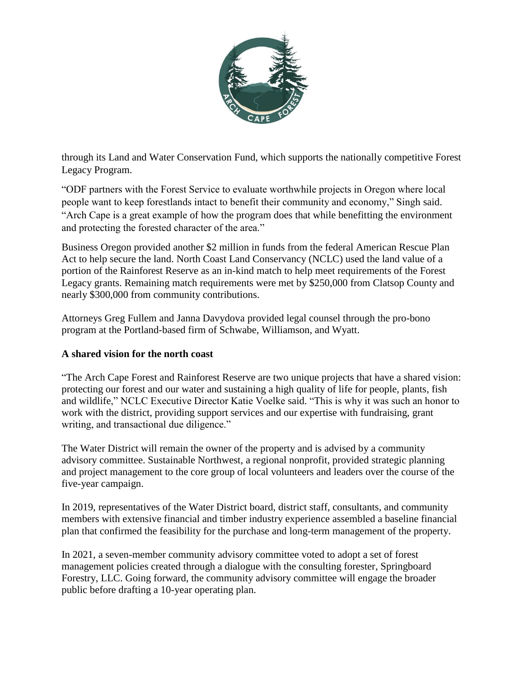

through its Land and Water Conservation Fund, which supports the nationally competitive Forest Legacy Program.

"ODF partners with the Forest Service to evaluate worthwhile projects in Oregon where local people want to keep forestlands intact to benefit their community and economy," Singh said. "Arch Cape is a great example of how the program does that while benefitting the environment and protecting the forested character of the area."

Business Oregon provided another \$2 million in funds from the federal American Rescue Plan Act to help secure the land. North Coast Land Conservancy (NCLC) used the land value of a portion of the Rainforest Reserve as an in-kind match to help meet requirements of the Forest Legacy grants. Remaining match requirements were met by \$250,000 from Clatsop County and nearly \$300,000 from community contributions.

Attorneys Greg Fullem and Janna Davydova provided legal counsel through the pro-bono program at the Portland-based firm of Schwabe, Williamson, and Wyatt.

## **A shared vision for the north coast**

"The Arch Cape Forest and Rainforest Reserve are two unique projects that have a shared vision: protecting our forest and our water and sustaining a high quality of life for people, plants, fish and wildlife," NCLC Executive Director Katie Voelke said. "This is why it was such an honor to work with the district, providing support services and our expertise with fundraising, grant writing, and transactional due diligence."

The Water District will remain the owner of the property and is advised by a community advisory committee. Sustainable Northwest, a regional nonprofit, provided strategic planning and project management to the core group of local volunteers and leaders over the course of the five-year campaign.

In 2019, representatives of the Water District board, district staff, consultants, and community members with extensive financial and timber industry experience assembled a baseline financial plan that confirmed the feasibility for the purchase and long-term management of the property.

In 2021, a seven-member community advisory committee voted to adopt a set of forest management policies created through a dialogue with the consulting forester, Springboard Forestry, LLC. Going forward, the community advisory committee will engage the broader public before drafting a 10-year operating plan.